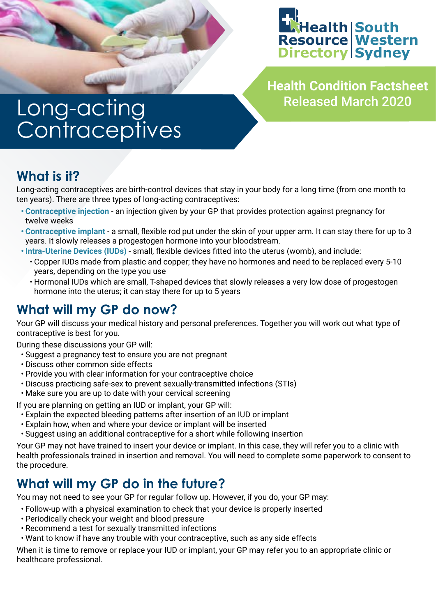

**Health Condition Factsheet** Released March 2020

# Long-acting **Contraceptives**

# **What is it?**

Long-acting contraceptives are birth-control devices that stay in your body for a long time (from one month to ten years). There are three types of long-acting contraceptives:

- **• Contraceptive injection** an injection given by your GP that provides protection against pregnancy for twelve weeks
- **• Contraceptive implant** a small, flexible rod put under the skin of your upper arm. It can stay there for up to 3 years. It slowly releases a progestogen hormone into your bloodstream.
- **• Intra-Uterine Devices (IUDs)** small, flexible devices fitted into the uterus (womb), and include:
	- Copper IUDs made from plastic and copper; they have no hormones and need to be replaced every 5-10 years, depending on the type you use
	- Hormonal IUDs which are small, T-shaped devices that slowly releases a very low dose of progestogen hormone into the uterus; it can stay there for up to 5 years

# **What will my GP do now?**

Your GP will discuss your medical history and personal preferences. Together you will work out what type of contraceptive is best for you.

During these discussions your GP will:

- Suggest a pregnancy test to ensure you are not pregnant
- Discuss other common side effects
- Provide you with clear information for your contraceptive choice
- Discuss practicing safe-sex to prevent sexually-transmitted infections (STIs)
- Make sure you are up to date with your cervical screening

If you are planning on getting an IUD or implant, your GP will:

- Explain the expected bleeding patterns after insertion of an IUD or implant
- Explain how, when and where your device or implant will be inserted
- Suggest using an additional contraceptive for a short while following insertion

Your GP may not have trained to insert your device or implant. In this case, they will refer you to a clinic with health professionals trained in insertion and removal. You will need to complete some paperwork to consent to the procedure.

# **What will my GP do in the future?**

You may not need to see your GP for regular follow up. However, if you do, your GP may:

• Follow-up with a physical examination to check that your device is properly inserted

- Periodically check your weight and blood pressure
- Recommend a test for sexually transmitted infections
- Want to know if have any trouble with your contraceptive, such as any side effects

When it is time to remove or replace your IUD or implant, your GP may refer you to an appropriate clinic or healthcare professional.